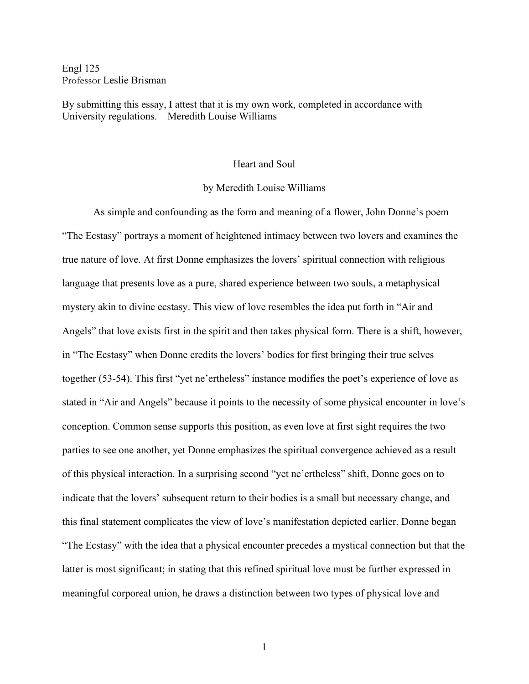Engl 125 Professor Leslie Brisman

By submitting this essay, I attest that it is my own work, completed in accordance with University regulations.—Meredith Louise Williams

## Heart and Soul

## by Meredith Louise Williams

As simple and confounding as the form and meaning of a flower, John Donne's poem "The Ecstasy" portrays a moment of heightened intimacy between two lovers and examines the true nature of love. At first Donne emphasizes the lovers' spiritual connection with religious language that presents love as a pure, shared experience between two souls, a metaphysical mystery akin to divine ecstasy. This view of love resembles the idea put forth in "Air and Angels" that love exists first in the spirit and then takes physical form. There is a shift, however, in "The Ecstasy" when Donne credits the lovers' bodies for first bringing their true selves together (53-54). This first "yet ne'ertheless" instance modifies the poet's experience of love as stated in "Air and Angels" because it points to the necessity of some physical encounter in love's conception. Common sense supports this position, as even love at first sight requires the two parties to see one another, yet Donne emphasizes the spiritual convergence achieved as a result of this physical interaction. In a surprising second "yet ne'ertheless" shift, Donne goes on to indicate that the lovers' subsequent return to their bodies is a small but necessary change, and this final statement complicates the view of love's manifestation depicted earlier. Donne began "The Ecstasy" with the idea that a physical encounter precedes a mystical connection but that the latter is most significant; in stating that this refined spiritual love must be further expressed in meaningful corporeal union, he draws a distinction between two types of physical love and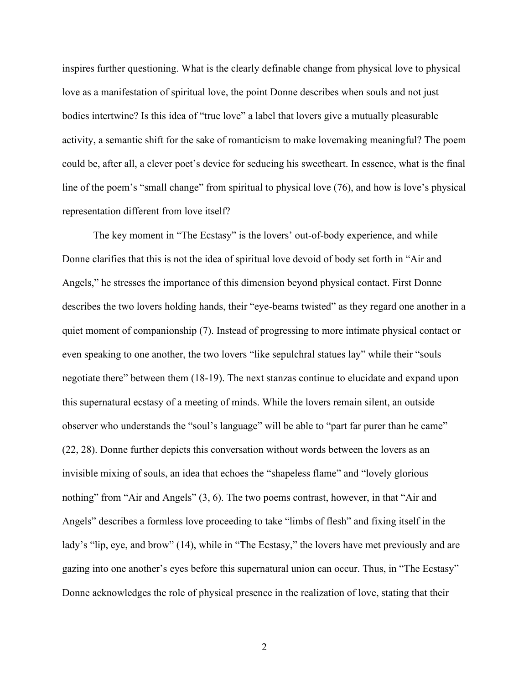inspires further questioning. What is the clearly definable change from physical love to physical love as a manifestation of spiritual love, the point Donne describes when souls and not just bodies intertwine? Is this idea of "true love" a label that lovers give a mutually pleasurable activity, a semantic shift for the sake of romanticism to make lovemaking meaningful? The poem could be, after all, a clever poet's device for seducing his sweetheart. In essence, what is the final line of the poem's "small change" from spiritual to physical love (76), and how is love's physical representation different from love itself?

The key moment in "The Ecstasy" is the lovers' out-of-body experience, and while Donne clarifies that this is not the idea of spiritual love devoid of body set forth in "Air and Angels," he stresses the importance of this dimension beyond physical contact. First Donne describes the two lovers holding hands, their "eye-beams twisted" as they regard one another in a quiet moment of companionship (7). Instead of progressing to more intimate physical contact or even speaking to one another, the two lovers "like sepulchral statues lay" while their "souls negotiate there" between them (18-19). The next stanzas continue to elucidate and expand upon this supernatural ecstasy of a meeting of minds. While the lovers remain silent, an outside observer who understands the "soul's language" will be able to "part far purer than he came" (22, 28). Donne further depicts this conversation without words between the lovers as an invisible mixing of souls, an idea that echoes the "shapeless flame" and "lovely glorious nothing" from "Air and Angels" (3, 6). The two poems contrast, however, in that "Air and Angels" describes a formless love proceeding to take "limbs of flesh" and fixing itself in the lady's "lip, eye, and brow" (14), while in "The Ecstasy," the lovers have met previously and are gazing into one another's eyes before this supernatural union can occur. Thus, in "The Ecstasy" Donne acknowledges the role of physical presence in the realization of love, stating that their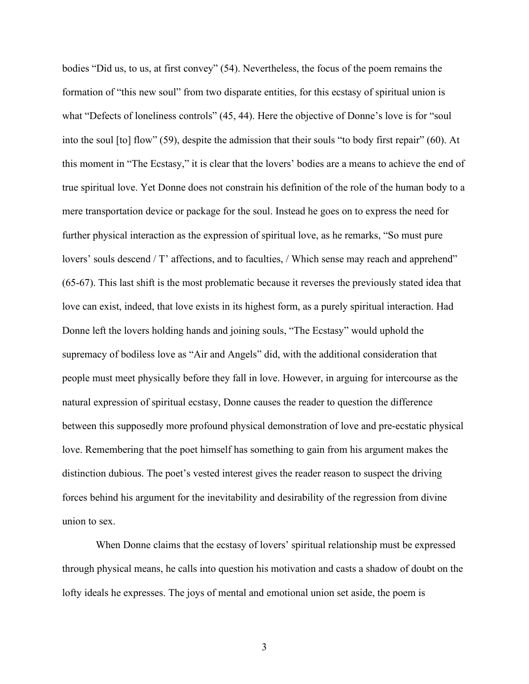bodies "Did us, to us, at first convey" (54). Nevertheless, the focus of the poem remains the formation of "this new soul" from two disparate entities, for this ecstasy of spiritual union is what "Defects of loneliness controls" (45, 44). Here the objective of Donne's love is for "soul into the soul [to] flow" (59), despite the admission that their souls "to body first repair" (60). At this moment in "The Ecstasy," it is clear that the lovers' bodies are a means to achieve the end of true spiritual love. Yet Donne does not constrain his definition of the role of the human body to a mere transportation device or package for the soul. Instead he goes on to express the need for further physical interaction as the expression of spiritual love, as he remarks, "So must pure lovers' souls descend / T' affections, and to faculties, / Which sense may reach and apprehend" (65-67). This last shift is the most problematic because it reverses the previously stated idea that love can exist, indeed, that love exists in its highest form, as a purely spiritual interaction. Had Donne left the lovers holding hands and joining souls, "The Ecstasy" would uphold the supremacy of bodiless love as "Air and Angels" did, with the additional consideration that people must meet physically before they fall in love. However, in arguing for intercourse as the natural expression of spiritual ecstasy, Donne causes the reader to question the difference between this supposedly more profound physical demonstration of love and pre-ecstatic physical love. Remembering that the poet himself has something to gain from his argument makes the distinction dubious. The poet's vested interest gives the reader reason to suspect the driving forces behind his argument for the inevitability and desirability of the regression from divine union to sex.

 When Donne claims that the ecstasy of lovers' spiritual relationship must be expressed through physical means, he calls into question his motivation and casts a shadow of doubt on the lofty ideals he expresses. The joys of mental and emotional union set aside, the poem is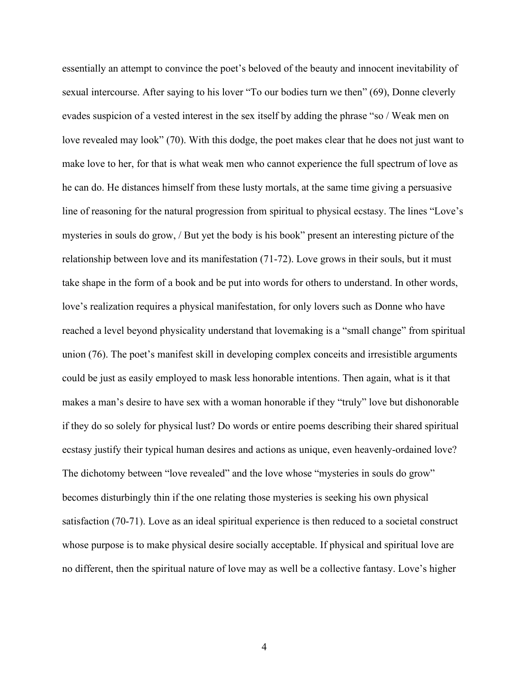essentially an attempt to convince the poet's beloved of the beauty and innocent inevitability of sexual intercourse. After saying to his lover "To our bodies turn we then" (69), Donne cleverly evades suspicion of a vested interest in the sex itself by adding the phrase "so / Weak men on love revealed may look" (70). With this dodge, the poet makes clear that he does not just want to make love to her, for that is what weak men who cannot experience the full spectrum of love as he can do. He distances himself from these lusty mortals, at the same time giving a persuasive line of reasoning for the natural progression from spiritual to physical ecstasy. The lines "Love's mysteries in souls do grow, / But yet the body is his book" present an interesting picture of the relationship between love and its manifestation (71-72). Love grows in their souls, but it must take shape in the form of a book and be put into words for others to understand. In other words, love's realization requires a physical manifestation, for only lovers such as Donne who have reached a level beyond physicality understand that lovemaking is a "small change" from spiritual union (76). The poet's manifest skill in developing complex conceits and irresistible arguments could be just as easily employed to mask less honorable intentions. Then again, what is it that makes a man's desire to have sex with a woman honorable if they "truly" love but dishonorable if they do so solely for physical lust? Do words or entire poems describing their shared spiritual ecstasy justify their typical human desires and actions as unique, even heavenly-ordained love? The dichotomy between "love revealed" and the love whose "mysteries in souls do grow" becomes disturbingly thin if the one relating those mysteries is seeking his own physical satisfaction (70-71). Love as an ideal spiritual experience is then reduced to a societal construct whose purpose is to make physical desire socially acceptable. If physical and spiritual love are no different, then the spiritual nature of love may as well be a collective fantasy. Love's higher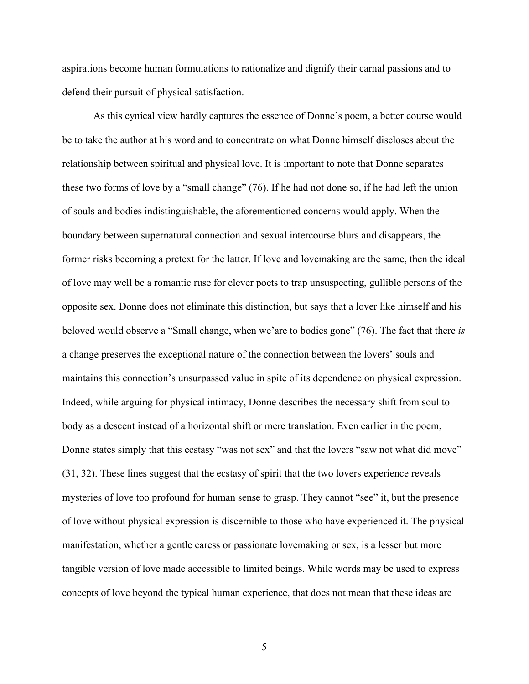aspirations become human formulations to rationalize and dignify their carnal passions and to defend their pursuit of physical satisfaction.

As this cynical view hardly captures the essence of Donne's poem, a better course would be to take the author at his word and to concentrate on what Donne himself discloses about the relationship between spiritual and physical love. It is important to note that Donne separates these two forms of love by a "small change" (76). If he had not done so, if he had left the union of souls and bodies indistinguishable, the aforementioned concerns would apply. When the boundary between supernatural connection and sexual intercourse blurs and disappears, the former risks becoming a pretext for the latter. If love and lovemaking are the same, then the ideal of love may well be a romantic ruse for clever poets to trap unsuspecting, gullible persons of the opposite sex. Donne does not eliminate this distinction, but says that a lover like himself and his beloved would observe a "Small change, when we'are to bodies gone" (76). The fact that there *is* a change preserves the exceptional nature of the connection between the lovers' souls and maintains this connection's unsurpassed value in spite of its dependence on physical expression. Indeed, while arguing for physical intimacy, Donne describes the necessary shift from soul to body as a descent instead of a horizontal shift or mere translation. Even earlier in the poem, Donne states simply that this ecstasy "was not sex" and that the lovers "saw not what did move" (31, 32). These lines suggest that the ecstasy of spirit that the two lovers experience reveals mysteries of love too profound for human sense to grasp. They cannot "see" it, but the presence of love without physical expression is discernible to those who have experienced it. The physical manifestation, whether a gentle caress or passionate lovemaking or sex, is a lesser but more tangible version of love made accessible to limited beings. While words may be used to express concepts of love beyond the typical human experience, that does not mean that these ideas are